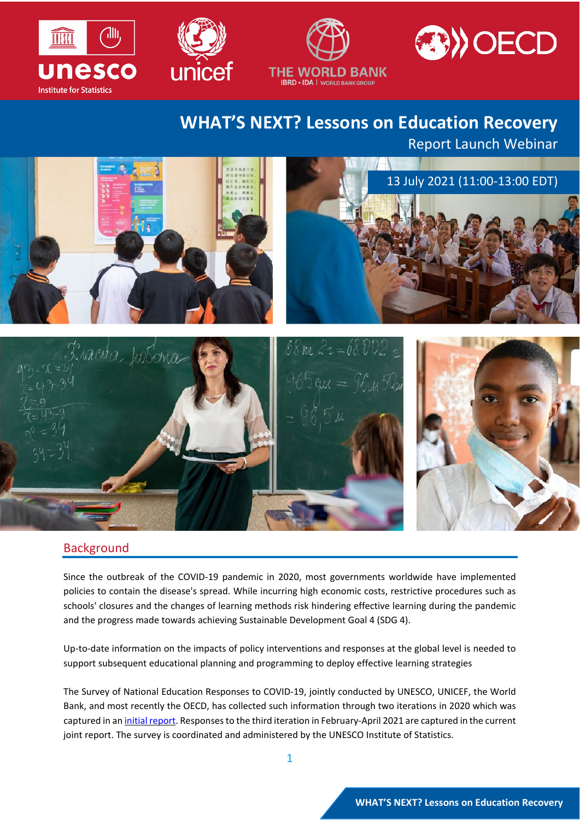







# **WHAT'S NEXT? Lessons on Education Recovery**

Report Launch Webinar



#### **Background**

Since the outbreak of the COVID-19 pandemic in 2020, most governments worldwide have implemented policies to contain the disease's spread. While incurring high economic costs, restrictive procedures such as schools' closures and the changes of learning methods risk hindering effective learning during the pandemic and the progress made towards achieving Sustainable Development Goal 4 (SDG 4).

Up-to-date information on the impacts of policy interventions and responses at the global level is needed to support subsequent educational planning and programming to deploy effective learning strategies

The Survey of National Education Responses to COVID-19, jointly conducted by UNESCO, UNICEF, the World Bank, and most recently the OECD, has collected such information through two iterations in 2020 which was captured in an initial [report.](http://covid19.uis.unesco.org/publications/) Responses to the third iteration in February-April 2021 are captured in the current joint report. The survey is coordinated and administered by the UNESCO Institute of Statistics.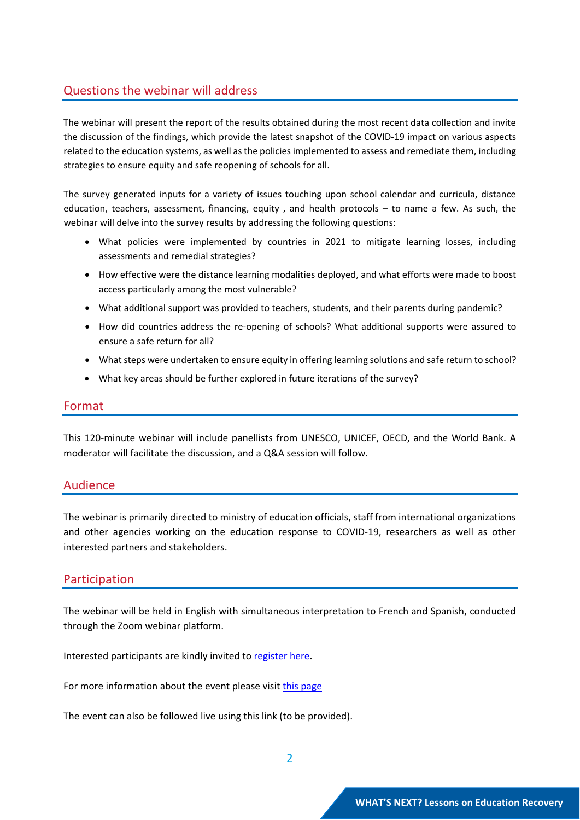### Questions the webinar will address

The webinar will present the report of the results obtained during the most recent data collection and invite the discussion of the findings, which provide the latest snapshot of the COVID-19 impact on various aspects related to the education systems, as well as the policies implemented to assess and remediate them, including strategies to ensure equity and safe reopening of schools for all.

The survey generated inputs for a variety of issues touching upon school calendar and curricula, distance education, teachers, assessment, financing, equity , and health protocols – to name a few. As such, the webinar will delve into the survey results by addressing the following questions:

- What policies were implemented by countries in 2021 to mitigate learning losses, including assessments and remedial strategies?
- How effective were the distance learning modalities deployed, and what efforts were made to boost access particularly among the most vulnerable?
- What additional support was provided to teachers, students, and their parents during pandemic?
- How did countries address the re-opening of schools? What additional supports were assured to ensure a safe return for all?
- What steps were undertaken to ensure equity in offering learning solutions and safe return to school?
- What key areas should be further explored in future iterations of the survey?

#### Format

This 120-minute webinar will include panellists from UNESCO, UNICEF, OECD, and the World Bank. A moderator will facilitate the discussion, and a Q&A session will follow.

#### Audience

The webinar is primarily directed to ministry of education officials, staff from international organizations and other agencies working on the education response to COVID-19, researchers as well as other interested partners and stakeholders.

#### Participation

The webinar will be held in English with simultaneous interpretation to French and Spanish, conducted through the Zoom webinar platform.

Interested participants are kindly invited to [register](https://unesco-org.zoom.us/webinar/register/WN_XX97BAjhRDSpoe53N5dZ6g) here.

For more information about the event please visit this [page](http://uis.unesco.org/en/news/whats-next-lessons-education-recovery)

The event can also be followed live using this link (to be provided).